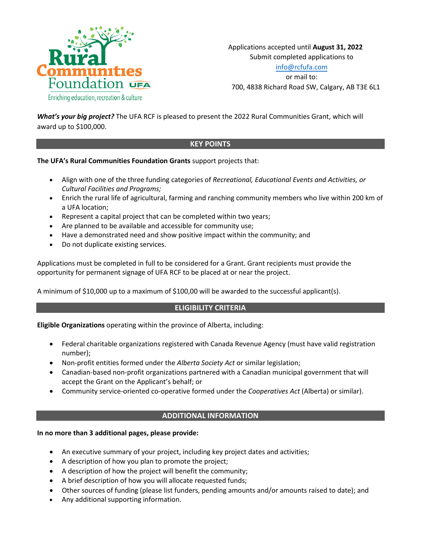

Applications accepted until **August 31, 2022** Submit completed applications to [info@rcfufa.com](mailto:info@rcfufa.com) or mail to: 700, 4838 Richard Road SW, Calgary, AB T3E 6L1

*What's your big project?* The UFA RCF is pleased to present the 2022 Rural Communities Grant, which will award up to \$100,000.

## **KEY POINTS**

**The UFA's Rural Communities Foundation Grants** support projects that:

- Align with one of the three funding categories of *Recreational, Educational Events and Activities, or Cultural Facilities and Programs;*
- Enrich the rural life of agricultural, farming and ranching community members who live within 200 km of a UFA location;
- Represent a capital project that can be completed within two years;
- Are planned to be available and accessible for community use;
- Have a demonstrated need and show positive impact within the community; and
- Do not duplicate existing services.

Applications must be completed in full to be considered for a Grant. Grant recipients must provide the opportunity for permanent signage of UFA RCF to be placed at or near the project.

A minimum of \$10,000 up to a maximum of \$100,00 will be awarded to the successful applicant(s).

# **ELIGIBILITY CRITERIA**

**Eligible Organizations** operating within the province of Alberta, including:

- Federal charitable organizations registered with Canada Revenue Agency (must have valid registration number);
- Non-profit entities formed under the *Alberta Society Act* or similar legislation;
- Canadian-based non-profit organizations partnered with a Canadian municipal government that will accept the Grant on the Applicant's behalf; or
- Community service-oriented co-operative formed under the *Cooperatives Act* (Alberta) or similar).

## **ADDITIONAL INFORMATION**

#### **In no more than 3 additional pages, please provide:**

- An executive summary of your project, including key project dates and activities;
- A description of how you plan to promote the project;
- A description of how the project will benefit the community;
- A brief description of how you will allocate requested funds;
- Other sources of funding (please list funders, pending amounts and/or amounts raised to date); and
- Any additional supporting information.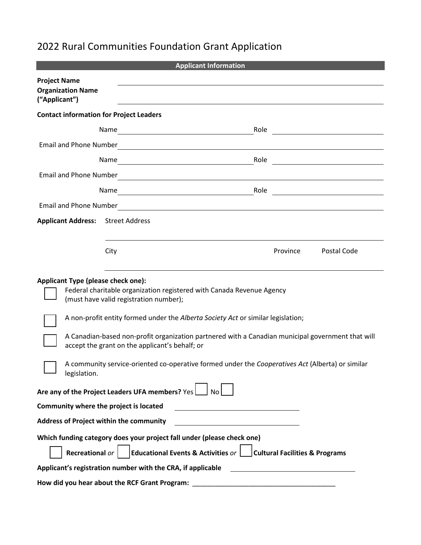# 2022 Rural Communities Foundation Grant Application

| <b>Applicant Information</b>                                                                                                                        |                                                                                                                     |          |             |  |
|-----------------------------------------------------------------------------------------------------------------------------------------------------|---------------------------------------------------------------------------------------------------------------------|----------|-------------|--|
| <b>Project Name</b><br><b>Organization Name</b><br>("Applicant")                                                                                    |                                                                                                                     |          |             |  |
| <b>Contact information for Project Leaders</b>                                                                                                      |                                                                                                                     |          |             |  |
|                                                                                                                                                     |                                                                                                                     |          | Role        |  |
| <b>Email and Phone Number</b>                                                                                                                       | <u> 1980 - Jan Samuel Barbara, margaret e populari e populari e populari e populari e populari e populari e pop</u> |          |             |  |
| Name                                                                                                                                                | <u> 1989 - Johann Stoff, fransk politik (d. 1989)</u>                                                               |          | Role        |  |
| Email and Phone Number                                                                                                                              | <u> 1980 - Andrea Andrew Maria (h. 1980).</u>                                                                       |          |             |  |
|                                                                                                                                                     | Role                                                                                                                |          |             |  |
| <b>Email and Phone Number</b>                                                                                                                       | <u> 1980 - Andrea Andrew Maria (h. 1980).</u>                                                                       |          |             |  |
| <b>Applicant Address:</b>                                                                                                                           | <b>Street Address</b>                                                                                               |          |             |  |
| City                                                                                                                                                |                                                                                                                     | Province | Postal Code |  |
| <b>Applicant Type (please check one):</b>                                                                                                           | Federal charitable organization registered with Canada Revenue Agency<br>(must have valid registration number);     |          |             |  |
|                                                                                                                                                     | A non-profit entity formed under the Alberta Society Act or similar legislation;                                    |          |             |  |
| A Canadian-based non-profit organization partnered with a Canadian municipal government that will<br>accept the grant on the applicant's behalf; or |                                                                                                                     |          |             |  |
| A community service-oriented co-operative formed under the Cooperatives Act (Alberta) or similar<br>legislation.                                    |                                                                                                                     |          |             |  |
| Are any of the Project Leaders UFA members? Yes<br>No                                                                                               |                                                                                                                     |          |             |  |
| Community where the project is located                                                                                                              |                                                                                                                     |          |             |  |
| <b>Address of Project within the community</b><br>the control of the control of the control of the control of the control of                        |                                                                                                                     |          |             |  |
| Which funding category does your project fall under (please check one)                                                                              |                                                                                                                     |          |             |  |
| Educational Events & Activities or $\Box$ Cultural Facilities & Programs<br>Recreational or                                                         |                                                                                                                     |          |             |  |
| Applicant's registration number with the CRA, if applicable                                                                                         |                                                                                                                     |          |             |  |
| How did you hear about the RCF Grant Program:                                                                                                       |                                                                                                                     |          |             |  |